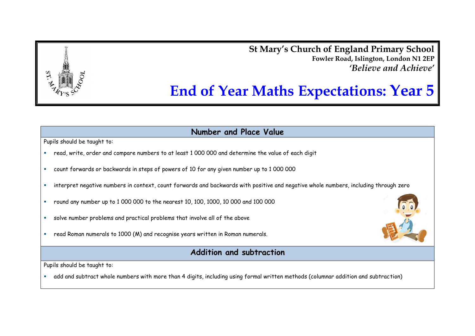**St Mary's Church of England Primary School Fowler Road, Islington, London N1 2EP** *'Believe and Achieve'*

# **End of Year Maths Expectations: Year 5**

**Number and Place Value**

Pupils should be taught to:

- read, write, order and compare numbers to at least 1 000 000 and determine the value of each digit
- count forwards or backwards in steps of powers of 10 for any given number up to 1 000 000
- interpret negative numbers in context, count forwards and backwards with positive and negative whole numbers, including through zero
- round any number up to 1 000 000 to the nearest 10, 100, 1000, 10 000 and 100 000
- solve number problems and practical problems that involve all of the above
- read Roman numerals to 1000 (M) and recognise years written in Roman numerals.



Pupils should be taught to:

add and subtract whole numbers with more than 4 digits, including using formal written methods (columnar addition and subtraction)

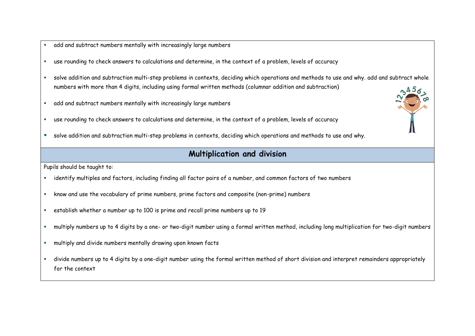- add and subtract numbers mentally with increasingly large numbers
- use rounding to check answers to calculations and determine, in the context of a problem, levels of accuracy
- solve addition and subtraction multi-step problems in contexts, deciding which operations and methods to use and why. add and subtract whole numbers with more than 4 digits, including using formal written methods (columnar addition and subtraction)
- add and subtract numbers mentally with increasingly large numbers
- use rounding to check answers to calculations and determine, in the context of a problem, levels of accuracy
- solve addition and subtraction multi-step problems in contexts, deciding which operations and methods to use and why.

## **Multiplication and division**

- identify multiples and factors, including finding all factor pairs of a number, and common factors of two numbers
- know and use the vocabulary of prime numbers, prime factors and composite (non-prime) numbers
- establish whether a number up to 100 is prime and recall prime numbers up to 19
- multiply numbers up to 4 digits by a one- or two-digit number using a formal written method, including long multiplication for two-digit numbers
- multiply and divide numbers mentally drawing upon known facts
- divide numbers up to 4 digits by a one-digit number using the formal written method of short division and interpret remainders appropriately for the context

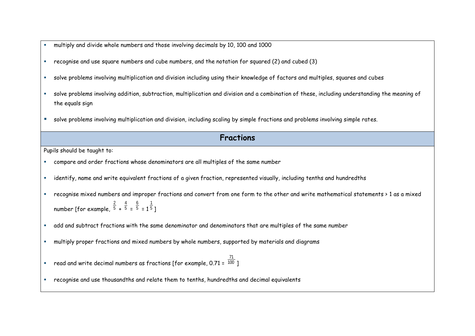- multiply and divide whole numbers and those involving decimals by 10, 100 and 1000
- recognise and use square numbers and cube numbers, and the notation for squared (2) and cubed (3)
- solve problems involving multiplication and division including using their knowledge of factors and multiples, squares and cubes
- solve problems involving addition, subtraction, multiplication and division and a combination of these, including understanding the meaning of the equals sign
- solve problems involving multiplication and division, including scaling by simple fractions and problems involving simple rates.

#### **Fractions**

- compare and order fractions whose denominators are all multiples of the same number
- identify, name and write equivalent fractions of a given fraction, represented visually, including tenths and hundredths
- recognise mixed numbers and improper fractions and convert from one form to the other and write mathematical statements > 1 as a mixed number [for example, 5 2 + 5 4 = 5 6  $= 15$ 1 ]
- add and subtract fractions with the same denominator and denominators that are multiples of the same number
- multiply proper fractions and mixed numbers by whole numbers, supported by materials and diagrams
- $\bullet$  read and write decimal numbers as fractions [for example, 0.71 =  $^{100}$ 71 ]
- recognise and use thousandths and relate them to tenths, hundredths and decimal equivalents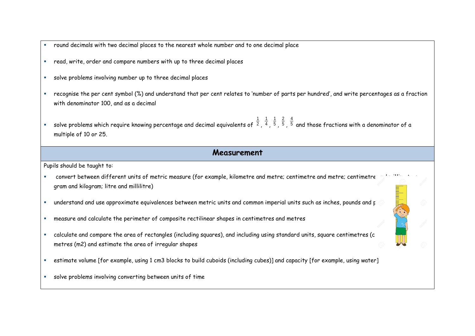- round decimals with two decimal places to the nearest whole number and to one decimal place
- read, write, order and compare numbers with up to three decimal places
- solve problems involving number up to three decimal places
- recognise the per cent symbol (%) and understand that per cent relates to 'number of parts per hundred', and write percentages as a fraction with denominator 100, and as a decimal
- $\hspace{0.1mm}$  solve problems which require knowing percentage and decimal equivalents of  $\hspace{0.1mm}$   $^2$ 1 , 4 1 , 5 1 , 5 2 , 5 4 and those fractions with a denominator of a multiple of 10 or 25.

#### **Measurement**

- convert between different units of metric measure (for example, kilometre and metre; centimetre and metre; centimetre gram and kilogram; litre and millilitre)
- " understand and use approximate equivalences between metric units and common imperial units such as inches, pounds and p
- measure and calculate the perimeter of composite rectilinear shapes in centimetres and metres
- calculate and compare the area of rectangles (including squares), and including using standard units, square centimetres (c metres (m2) and estimate the area of irregular shapes
- estimate volume [for example, using 1 cm3 blocks to build cuboids (including cubes)] and capacity [for example, using water]
- solve problems involving converting between units of time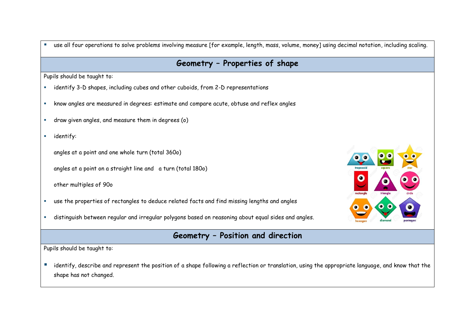use all four operations to solve problems involving measure [for example, length, mass, volume, money] using decimal notation, including scaling.

### **Geometry – Properties of shape**

Pupils should be taught to:

- identify 3-D shapes, including cubes and other cuboids, from 2-D representations
- know angles are measured in degrees: estimate and compare acute, obtuse and reflex angles
- draw given angles, and measure them in degrees (o)
- **identify:**

angles at a point and one whole turn (total 360o)

angles at a point on a straight line and a turn (total 180o)

other multiples of 90o

- use the properties of rectangles to deduce related facts and find missing lengths and angles
- distinguish between regular and irregular polygons based on reasoning about equal sides and angles.

# **Geometry – Position and direction**

Pupils should be taught to:

**Indentify, describe and represent the position of a shape following a reflection or translation, using the appropriate language, and know that the** shape has not changed.